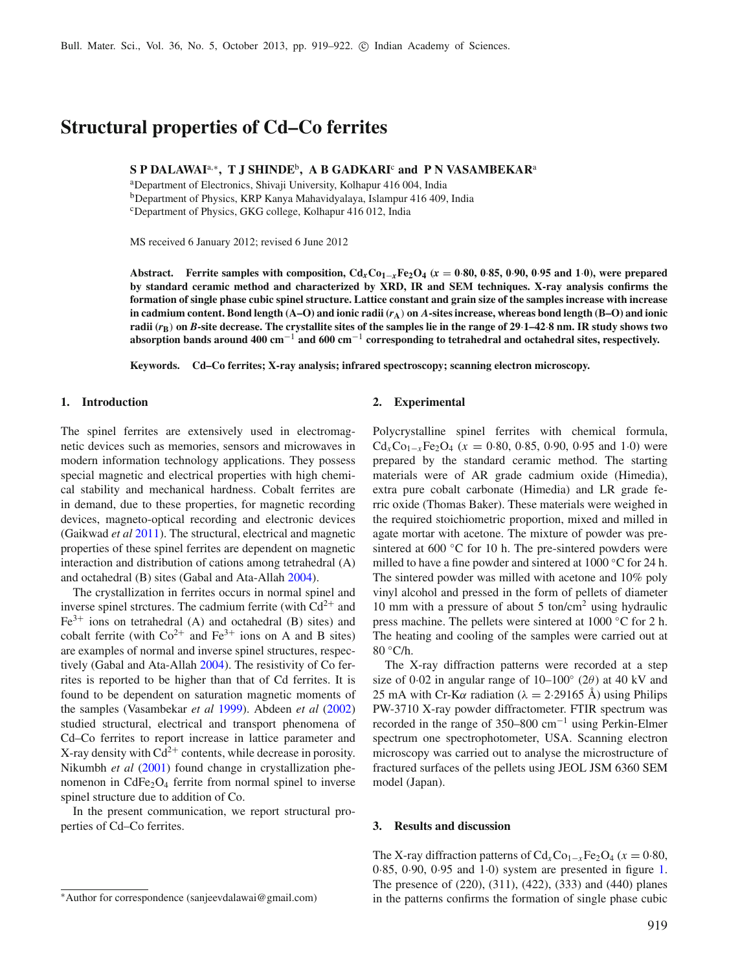# **Structural properties of Cd–Co ferrites**

**S P DALAWAI**a,<sup>∗</sup>**, T J SHINDE**b**, A B GADKARI**<sup>c</sup> **and P N VASAMBEKAR**<sup>a</sup>

aDepartment of Electronics, Shivaji University, Kolhapur 416 004, India bDepartment of Physics, KRP Kanya Mahavidyalaya, Islampur 416 409, India cDepartment of Physics, GKG college, Kolhapur 416 012, India

MS received 6 January 2012; revised 6 June 2012

Abstract. Ferrite samples with composition,  $Cd_xCo_{1-x}Fe_2O_4$  ( $x = 0.80, 0.85, 0.90, 0.95$  and 1.0), were prepared **by standard ceramic method and characterized by XRD, IR and SEM techniques. X-ray analysis confirms the formation of single phase cubic spinel structure. Lattice constant and grain size of the samples increase with increase** in cadmium content. Bond length  $(A-O)$  and ionic radii  $(r_A)$  on A-sites increase, whereas bond length  $(B-O)$  and ionic **radii (***r***B**) **on** *B***-site decrease. The crystallite sites of the samples lie in the range of 29**·**1–42**·**8 nm. IR study shows two absorption bands around 400 cm**−<sup>1</sup> **and 600 cm**−<sup>1</sup> **corresponding to tetrahedral and octahedral sites, respectively.**

80 ◦C/h.

**2. Experimental**

**Keywords. Cd–Co ferrites; X-ray analysis; infrared spectroscopy; scanning electron microscopy.**

### **1. Introduction**

The spinel ferrites are extensively used in electromagnetic devices such as memories, sensors and microwaves in modern information technology applications. They possess special magnetic and electrical properties with high chemical stability and mechanical hardness. Cobalt ferrites are in demand, due to these properties, for magnetic recording devices, magneto-optical recording and electronic devices (Gaikwad *et a[l](#page-3-0)* [2011](#page-3-0)). The structural, electrical and magnetic properties of these spinel ferrites are dependent on magnetic interaction and distribution of cations among tetrahedral (A) and octahedral (B) sites (Gabal and Ata-Alla[h](#page-3-1) [2004](#page-3-1)).

The crystallization in ferrites occurs in normal spinel and inverse spinel strctures. The cadmium ferrite (with  $Cd^{2+}$  and  $Fe<sup>3+</sup>$  ions on tetrahedral (A) and octahedral (B) sites) and cobalt ferrite (with  $Co^{2+}$  and  $Fe^{3+}$  ions on A and B sites) are examples of normal and inverse spinel structures, respectively (Gabal and Ata-Alla[h](#page-3-1) [2004](#page-3-1)). The resistivity of Co ferrites is reported to be higher than that of Cd ferrites. It is found to be dependent on saturation magnetic moments of the samples (Vasambekar *et a[l](#page-3-2)* [1999](#page-3-2)). Abdeen *et a[l](#page-3-3)* [\(2002](#page-3-3)) studied structural, electrical and transport phenomena of Cd–Co ferrites to report increase in lattice parameter and X-ray density with  $Cd^{2+}$  contents, while decrease in porosity. Nikumbh *et a[l](#page-3-4)* [\(2001](#page-3-4)) found change in crystallization phenomenon in  $CdFe<sub>2</sub>O<sub>4</sub>$  ferrite from normal spinel to inverse spinel structure due to addition of Co.

In the present communication, we report structural properties of Cd–Co ferrites.

#### **3. Results and discussion**

model (Japan).

The X-ray diffraction patterns of  $Cd_xCo_{1-x}Fe_2O_4$  ( $x = 0.80$ , 0·85, 0·90, 0·95 and 1·0) system are presented in figure [1.](#page-1-0) The presence of (220), (311), (422), (333) and (440) planes in the patterns confirms the formation of single phase cubic

The X-ray diffraction patterns were recorded at a step size of 0·02 in angular range of  $10-100°$  (2 $\theta$ ) at 40 kV and 25 mA with Cr-K $\alpha$  radiation ( $\lambda = 2.29165$  Å) using Philips PW-3710 X-ray powder diffractometer. FTIR spectrum was recorded in the range of 350–800 cm<sup>−</sup><sup>1</sup> using Perkin-Elmer spectrum one spectrophotometer, USA. Scanning electron microscopy was carried out to analyse the microstructure of fractured surfaces of the pellets using JEOL JSM 6360 SEM

Polycrystalline spinel ferrites with chemical formula,  $Cd<sub>x</sub>Co<sub>1-x</sub>Fe<sub>2</sub>O<sub>4</sub>$  ( $x = 0.80, 0.85, 0.90, 0.95$  and 1.0) were prepared by the standard ceramic method. The starting materials were of AR grade cadmium oxide (Himedia), extra pure cobalt carbonate (Himedia) and LR grade ferric oxide (Thomas Baker). These materials were weighed in the required stoichiometric proportion, mixed and milled in agate mortar with acetone. The mixture of powder was presintered at  $600 °C$  for 10 h. The pre-sintered powders were milled to have a fine powder and sintered at 1000 ◦C for 24 h. The sintered powder was milled with acetone and 10% poly vinyl alcohol and pressed in the form of pellets of diameter 10 mm with a pressure of about 5 ton/cm<sup>2</sup> using hydraulic press machine. The pellets were sintered at 1000 ◦C for 2 h. The heating and cooling of the samples were carried out at

<sup>∗</sup>Author for correspondence (sanjeevdalawai@gmail.com)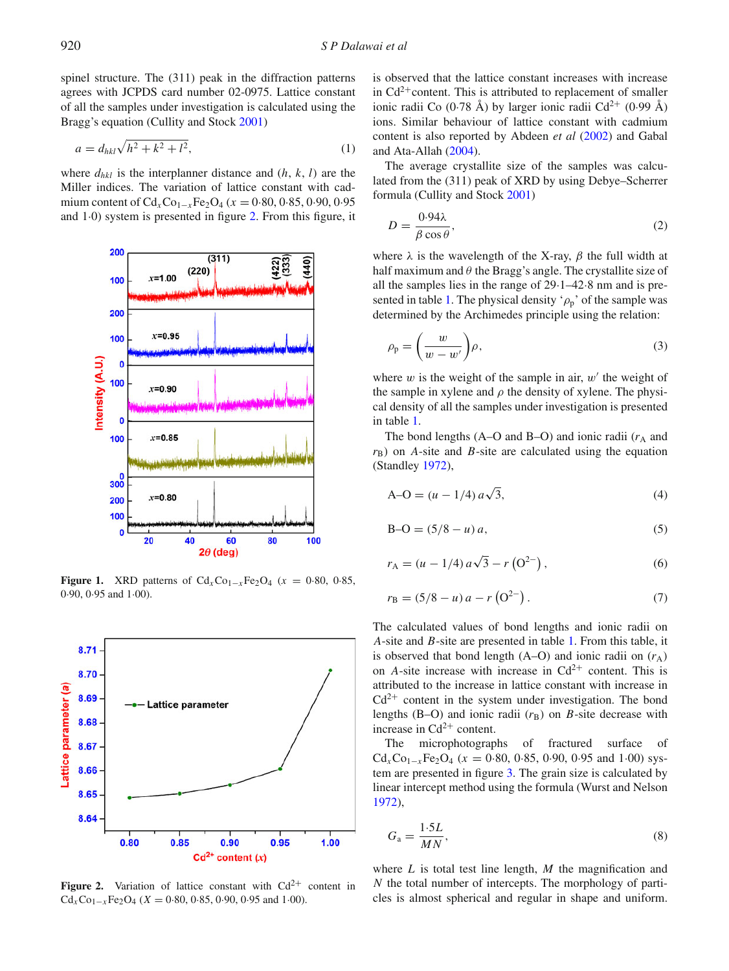spinel structure. The (311) peak in the diffraction patterns agrees with JCPDS card number 02-0975. Lattice constant of all the samples under investigation is calculated using the Bragg's equation (Cullity and Stoc[k](#page-3-5) [2001](#page-3-5))

$$
a = d_{hkl} \sqrt{h^2 + k^2 + l^2},
$$
\n(1)

where  $d_{hkl}$  is the interplanner distance and  $(h, k, l)$  are the Miller indices. The variation of lattice constant with cadmium content of  $Cd_xCo_{1-x}Fe_2O_4$  ( $x = 0.80, 0.85, 0.90, 0.95$ ) and 1·0) system is presented in figure [2.](#page-1-1) From this figure, it

<span id="page-1-0"></span>

**Figure 1.** XRD patterns of  $Cd_xCo_{1-x}Fe_2O_4$  ( $x = 0.80, 0.85,$ 0·90, 0·95 and 1·00).

<span id="page-1-1"></span>

**Figure 2.** Variation of lattice constant with  $Cd^{2+}$  content in  $Cd<sub>x</sub>Co<sub>1-x</sub>Fe<sub>2</sub>O<sub>4</sub>$  (*X* = 0·80, 0·85, 0·90, 0·95 and 1·00).

is observed that the lattice constant increases with increase in  $Cd^{2+}$ content. This is attributed to replacement of smaller ionic radii Co (0.78 Å) by larger ionic radii Cd<sup>2+</sup> (0.99 Å) ions. Similar behaviour of lattice constant with cadmium content is also reported by Abdeen *et a[l](#page-3-3)* [\(2002](#page-3-3)) and Gabal and Ata-Alla[h](#page-3-1) [\(2004](#page-3-1)).

The average crystallite size of the samples was calculated from the (311) peak of XRD by using Debye–Scherrer formula (Cullity and Stoc[k](#page-3-5) [2001](#page-3-5))

$$
D = \frac{0.94\lambda}{\beta \cos \theta},\tag{2}
$$

where  $\lambda$  is the wavelength of the X-ray,  $\beta$  the full width at half maximum and  $\theta$  the Bragg's angle. The crystallite size of all the samples lies in the range of 29·1–42·8 nm and is pre-sented in table [1.](#page-2-0) The physical density ' $\rho_p$ ' of the sample was determined by the Archimedes principle using the relation:

$$
\rho_{\rm p} = \left(\frac{w}{w - w'}\right)\rho,\tag{3}
$$

where  $w$  is the weight of the sample in air,  $w'$  the weight of the sample in xylene and  $\rho$  the density of xylene. The physical density of all the samples under investigation is presented in table [1.](#page-2-0)

The bond lengths  $(A - O$  and  $B - O$ ) and ionic radii  $(r_A)$  and  $r_{\rm B}$ ) on *A*-site and *B*-site are calculated using the equation (Standle[y](#page-3-6) [1972](#page-3-6)),

$$
A - O = (u - 1/4) a\sqrt{3},
$$
 (4)

$$
B - O = (5/8 - u) a,
$$
\n(5)

$$
r_{A} = (u - 1/4) a\sqrt{3} - r (0^{2-}),
$$
 (6)

$$
r_{\rm B} = (5/8 - u) a - r \left( \frac{O^2}{\cdot} \right). \tag{7}
$$

The calculated values of bond lengths and ionic radii on *A*-site and *B*-site are presented in table [1.](#page-2-0) From this table, it is observed that bond length  $(A-**O**)$  and ionic radii on  $(r_A)$ on *A*-site increase with increase in  $Cd^{2+}$  content. This is attributed to the increase in lattice constant with increase in  $Cd^{2+}$  content in the system under investigation. The bond lengths (B–O) and ionic radii  $(r_B)$  on *B*-site decrease with increase in  $Cd^{2+}$  content.

The microphotographs of fractured surface of  $Cd_xCo_{1-x}Fe_2O_4$  ( $x = 0.80, 0.85, 0.90, 0.95$  and 1.00) system are presented in figure [3.](#page-2-1) The grain size is calculated by linear intercept method using the formula (Wurst and Nelso[n](#page-3-7) [1972\)](#page-3-7),

$$
G_{\rm a} = \frac{1.5L}{MN},\tag{8}
$$

where *L* is total test line length, *M* the magnification and *N* the total number of intercepts. The morphology of particles is almost spherical and regular in shape and uniform.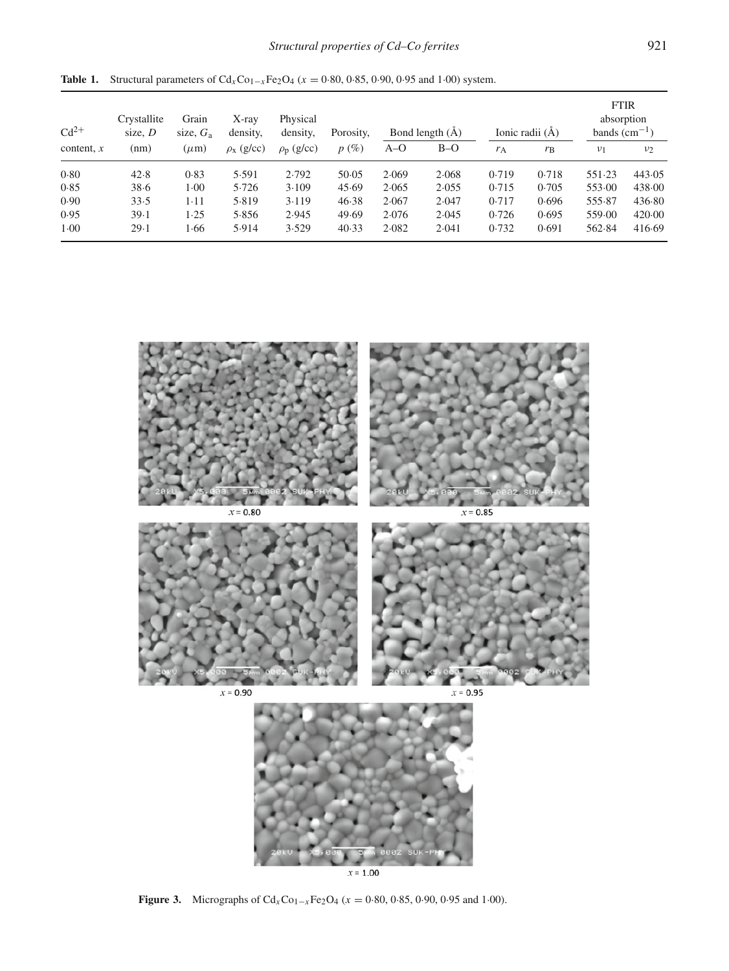| $Cd^{2+}$<br>content, $x$ | Crystallite<br>size, $D$<br>(nm) | Grain<br>size, $G_a$<br>$(\mu m)$ | $X$ -ray<br>density,<br>$\rho_{\rm X}$ (g/cc) | Physical<br>density,<br>$\rho_{\rm p}$ (g/cc) | Porosity,<br>$p(\%)$ | Bond length $(\AA)$ |       | Ionic radii (Å) |             | <b>FTIR</b><br>absorption<br>bands $(cm-1)$ |                |
|---------------------------|----------------------------------|-----------------------------------|-----------------------------------------------|-----------------------------------------------|----------------------|---------------------|-------|-----------------|-------------|---------------------------------------------|----------------|
|                           |                                  |                                   |                                               |                                               |                      | $A-O$               | $B-O$ | $r_A$           | $r_{\rm B}$ | $\nu_1$                                     | v <sub>2</sub> |
| 0.80                      | 42.8                             | 0.83                              | 5.591                                         | 2.792                                         | 50.05                | 2.069               | 2.068 | 0.719           | 0.718       | 551.23                                      | 443.05         |
| 0.85                      | 38.6                             | 1.00                              | 5.726                                         | 3.109                                         | 45.69                | 2.065               | 2.055 | 0.715           | 0.705       | 553.00                                      | 438.00         |
| 0.90                      | 33.5                             | $1 - 11$                          | 5.819                                         | 3.119                                         | 46.38                | 2.067               | 2.047 | 0.717           | 0.696       | 555.87                                      | 436.80         |
| 0.95                      | 39.1                             | 1.25                              | 5.856                                         | 2.945                                         | 49.69                | 2.076               | 2.045 | 0.726           | 0.695       | 559.00                                      | 420.00         |
| 1.00                      | 29.1                             | 1.66                              | 5.914                                         | 3.529                                         | 40.33                | 2.082               | 2.041 | 0.732           | 0.691       | 562.84                                      | 416.69         |

<span id="page-2-0"></span>**Table 1.** Structural parameters of  $Cd_xCo_{1-x}Fe_2O_4$  ( $x = 0.80, 0.85, 0.90, 0.95$  and 1.00) system.

<span id="page-2-1"></span>

 $x = 1.00$ 

**Figure 3.** Micrographs of  $Cd_xCo_{1-x}Fe_2O_4$  ( $x = 0.80, 0.85, 0.90, 0.95$  and 1.00).